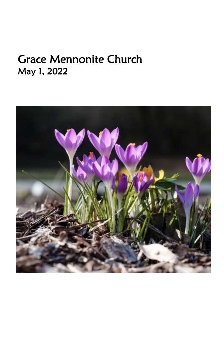# Grace Mennonite Church May 1, 2022

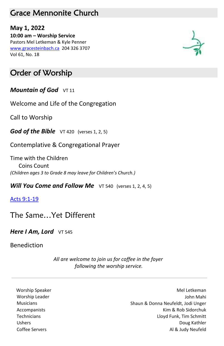### Grace Mennonite Church

**May 1, 2022 10:00 am – Worship Service** Pastors Mel Letkeman & Kyle Penner [www.gracesteinbach.ca](http://www.gracesteinbach.ca/) 204 326 3707 Vol 61, No. 18



### Order of Worship

*Mountain of God*  $VT 11$ 

Welcome and Life of the Congregation

Call to Worship

*God of the Bible* VT 420 (verses 1, 2, 5)

Contemplative & Congregational Prayer

Time with the Children Coins Count *(Children ages 3 to Grade 8 may leave for Children's Church.)*

*Will You Come and Follow Me* VT 540 (verses 1, 2, 4, 5)

[Acts 9:1-19](https://www.biblegateway.com/passage/?search=Acts+9%3A1-19+&version=NRSV)

The Same…Yet Different

**Here I Am, Lord** VT 545

Benediction

*All are welcome to join us for coffee in the foyer following the worship service.*

Worship Speaker Mel Letkeman and the Mel Letkeman and the Mel Letkeman and the Mel Letkeman Worship Leader **Mahin** Worship Leader **John Mahin** Mahin Mahin Mahin Mahin Mahin Mahin Mahin Mahin Mahin Mahin Mahi Musicians Shaun & Donna Neufeldt, Jodi Unger Accompanists **Accompanists** Accompanists **Kim & Rob Sidorchuk Kim & Rob Sidorchuk**  Technicians Lloyd Funk, Tim Schmitt Ushers Doug Kathler Coffee Servers Al & Judy Neufeld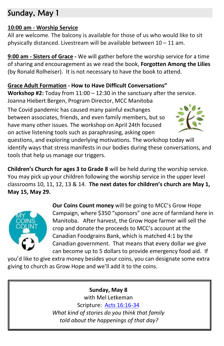# Sunday, May 1

#### **10:00 am - Worship Service**

All are welcome. The balcony is available for those of us who would like to sit physically distanced. Livestream will be available between 10 – 11 am.

**9:00 am - Sisters of Grace -** We will gather before the worship service for a time of sharing and encouragement as we read the book, **Forgotten Among the Lilies**  (by Ronald Rolheiser). It is not necessary to have the book to attend.

#### **Grace Adult Formation - How to Have Difficult Conversations"**

**Workshop #2:** Today from 11:00 – 12:30 in the sanctuary after the service. Joanna Hiebert Bergen, Program Director, MCC Manitoba

The Covid pandemic has caused many painful exchanges between associates, friends, and even family members, but so have many other issues. The workshop on April 24th focused on active listening tools such as paraphrasing, asking open



questions, and exploring underlying motivations. The workshop today will identify ways that stress manifests in our bodies during these conversations, and tools that help us manage our triggers.

**Children's Church for ages 3 to Grade 8** will be held during the worship service. You may pick up your children following the worship service in the upper level classrooms 10, 11, 12, 13 & 14. **The next dates for children's church are May 1, May 15, May 29.**



**Our Coins Count money** will be going to MCC's Grow Hope Campaign, where \$350 "sponsors" one acre of farmland here in Manitoba. After harvest, the Grow Hope farmer will sell the crop and donate the proceeds to MCC's account at the Canadian Foodgrains Bank, which is matched 4:1 by the Canadian government. That means that every dollar we give can become up to 5 dollars to provide emergency food aid. If

you'd like to give extra money besides your coins, you can designate some extra giving to church as Grow Hope and we'll add it to the coins.

#### **Sunday, May 8**

with Mel Letkeman Scripture: [Acts 16:16-34](https://www.biblegateway.com/passage/?search=Acts+16%3A16-34+&version=NRSV) *What kind of stories do you think that family told about the happenings of that day?*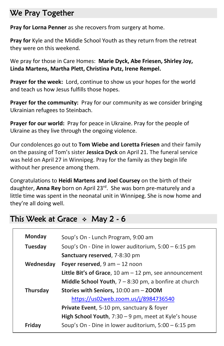# We Pray Together

**Pray for Lorna Penner** as she recovers from surgery at home.

**Pray for** Kyle and the Middle School Youth as they return from the retreat they were on this weekend.

We pray for those in Care Homes: **Marie Dyck, Abe Friesen, Shirley Joy, Linda Martens, Martha Plett, Christina Putz, Irene Rempel.**

**Prayer for the week:** Lord, continue to show us your hopes for the world and teach us how Jesus fulfills those hopes.

Prayer for the community: Pray for our community as we consider bringing Ukrainian refugees to Steinbach.

**Prayer for our world:** Pray for peace in Ukraine. Pray for the people of Ukraine as they live through the ongoing violence.

Our condolences go out to **Tom Wiebe and Loretta Friesen** and their family on the passing of Tom's sister **Jessica Dyck** on April 21. The funeral service was held on April 27 in Winnipeg. Pray for the family as they begin life without her presence among them.

Congratulations to **Heidi Martens and Joel Coursey** on the birth of their daughter, Anna Rey born on April 23<sup>rd</sup>. She was born pre-maturely and a little time was spent in the neonatal unit in Winnipeg. She is now home and they're all doing well.

# This Week at Grace  $\cdot$  May 2 - 6

| <b>Monday</b>   | Soup's On - Lunch Program, 9:00 am                       |
|-----------------|----------------------------------------------------------|
| Tuesday         | Soup's On - Dine in lower auditorium, 5:00 - 6:15 pm     |
|                 | Sanctuary reserved, 7-8:30 pm                            |
| Wednesday       | Foyer reserved, $9$ am $-12$ noon                        |
|                 | Little Bit's of Grace, 10 am $-$ 12 pm, see announcement |
|                 | Middle School Youth, $7 - 8:30$ pm, a bonfire at church  |
| <b>Thursday</b> | Stories with Seniors, 10:00 am - ZOOM                    |
|                 | https://us02web.zoom.us/j/8984736540                     |
|                 | Private Event, 5-10 pm, sanctuary & foyer                |
|                 | High School Youth, $7:30 - 9$ pm, meet at Kyle's house   |
| Friday          | Soup's On - Dine in lower auditorium, 5:00 - 6:15 pm     |